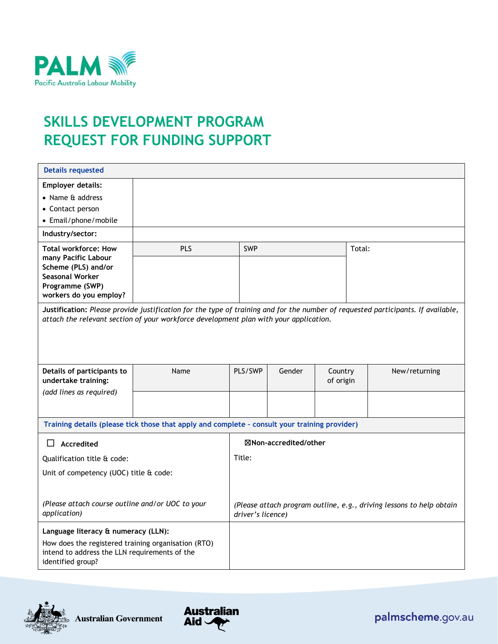

# **SKILLS DEVELOPMENT PROGRAM REQUEST FOR FUNDING SUPPORT**

| <b>Details requested</b>                                                                                                                                                                                                  |                                                                                               |                                                                                           |        |                                       |        |  |
|---------------------------------------------------------------------------------------------------------------------------------------------------------------------------------------------------------------------------|-----------------------------------------------------------------------------------------------|-------------------------------------------------------------------------------------------|--------|---------------------------------------|--------|--|
| <b>Employer details:</b><br>• Name & address<br>• Contact person<br>• Email/phone/mobile                                                                                                                                  |                                                                                               |                                                                                           |        |                                       |        |  |
| Industry/sector:                                                                                                                                                                                                          |                                                                                               |                                                                                           |        |                                       |        |  |
| <b>Total workforce: How</b><br>many Pacific Labour<br>Scheme (PLS) and/or<br><b>Seasonal Worker</b><br>Programme (SWP)<br>workers do you employ?                                                                          | PLS                                                                                           | <b>SWP</b>                                                                                |        |                                       | Total: |  |
| Justification: Please provide justification for the type of training and for the number of requested participants. If available,<br>attach the relevant section of your workforce development plan with your application. |                                                                                               |                                                                                           |        |                                       |        |  |
| Details of participants to<br>undertake training:                                                                                                                                                                         | Name                                                                                          | PLS/SWP                                                                                   | Gender | Country<br>New/returning<br>of origin |        |  |
| (add lines as required)                                                                                                                                                                                                   |                                                                                               |                                                                                           |        |                                       |        |  |
|                                                                                                                                                                                                                           | Training details (please tick those that apply and complete - consult your training provider) |                                                                                           |        |                                       |        |  |
| Accredited<br>$\Box$                                                                                                                                                                                                      |                                                                                               | ⊠Non-accredited/other                                                                     |        |                                       |        |  |
| Qualification title & code:                                                                                                                                                                                               |                                                                                               | Title:                                                                                    |        |                                       |        |  |
| Unit of competency (UOC) title & code:                                                                                                                                                                                    |                                                                                               |                                                                                           |        |                                       |        |  |
| (Please attach course outline and/or UOC to your<br>application)                                                                                                                                                          |                                                                                               | (Please attach program outline, e.g., driving lessons to help obtain<br>driver's licence) |        |                                       |        |  |
| Language literacy & numeracy (LLN):<br>How does the registered training organisation (RTO)<br>intend to address the LLN requirements of the<br>identified group?                                                          |                                                                                               |                                                                                           |        |                                       |        |  |



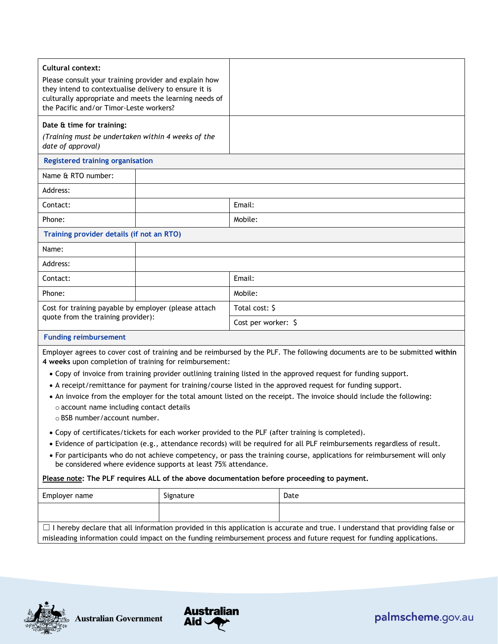| <b>Cultural context:</b><br>Please consult your training provider and explain how<br>they intend to contextualise delivery to ensure it is<br>culturally appropriate and meets the learning needs of<br>the Pacific and/or Timor-Leste workers? |  |                     |  |
|-------------------------------------------------------------------------------------------------------------------------------------------------------------------------------------------------------------------------------------------------|--|---------------------|--|
| Date & time for training:<br>(Training must be undertaken within 4 weeks of the<br>date of approval)                                                                                                                                            |  |                     |  |
| <b>Registered training organisation</b>                                                                                                                                                                                                         |  |                     |  |
| Name & RTO number:                                                                                                                                                                                                                              |  |                     |  |
| Address:                                                                                                                                                                                                                                        |  |                     |  |
| Contact:                                                                                                                                                                                                                                        |  | Email:              |  |
| Phone:                                                                                                                                                                                                                                          |  | Mobile:             |  |
| Training provider details (if not an RTO)                                                                                                                                                                                                       |  |                     |  |
| Name:                                                                                                                                                                                                                                           |  |                     |  |
| Address:                                                                                                                                                                                                                                        |  |                     |  |
| Contact:                                                                                                                                                                                                                                        |  | Email:              |  |
| Phone:                                                                                                                                                                                                                                          |  | Mobile:             |  |
| Cost for training payable by employer (please attach                                                                                                                                                                                            |  | Total cost: \$      |  |
| quote from the training provider):                                                                                                                                                                                                              |  | Cost per worker: \$ |  |
| <b>Funding reimbursement</b>                                                                                                                                                                                                                    |  |                     |  |
| Employer agrees to cover cost of training and be reimbursed by the PLF. The following documents are to be submitted within<br>4 weeks upon completion of training for reimbursement:                                                            |  |                     |  |

- Copy of invoice from training provider outlining training listed in the approved request for funding support.
- A receipt/remittance for payment for training/course listed in the approved request for funding support.
- An invoice from the employer for the total amount listed on the receipt. The invoice should include the following: o account name including contact details
	- o BSB number/account number.
- Copy of certificates/tickets for each worker provided to the PLF (after training is completed).
- Evidence of participation (e.g., attendance records) will be required for all PLF reimbursements regardless of result.
- For participants who do not achieve competency, or pass the training course, applications for reimbursement will only be considered where evidence supports at least 75% attendance.

#### **Please note: The PLF requires ALL of the above documentation before proceeding to payment.**

| Employer name | Signature | Date                                                                                                                                                                                                                                                          |
|---------------|-----------|---------------------------------------------------------------------------------------------------------------------------------------------------------------------------------------------------------------------------------------------------------------|
|               |           |                                                                                                                                                                                                                                                               |
|               |           | $\Box$ I hereby declare that all information provided in this application is accurate and true. I understand that providing false or<br>misleading information could impact on the funding reimbursement process and future request for funding applications. |







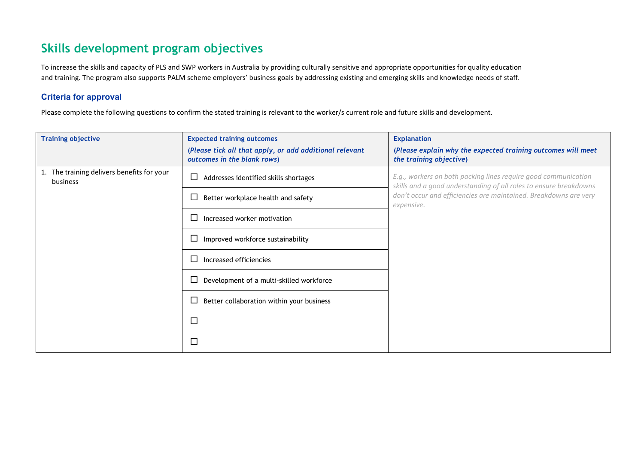## **Skills development program objectives**

To increase the skills and capacity of PLS and SWP workers in Australia by providing culturally sensitive and appropriate opportunities for quality education and training. The program also supports PALM scheme employers' business goals by addressing existing and emerging skills and knowledge needs of staff.

#### **Criteria for approval**

Please complete the following questions to confirm the stated training is relevant to the worker/s current role and future skills and development.

| <b>Training objective</b>                              | <b>Expected training outcomes</b><br>(Please tick all that apply, or add additional relevant<br>outcomes in the blank rows) | <b>Explanation</b><br>(Please explain why the expected training outcomes will meet<br>the training objective)                       |  |
|--------------------------------------------------------|-----------------------------------------------------------------------------------------------------------------------------|-------------------------------------------------------------------------------------------------------------------------------------|--|
| 1. The training delivers benefits for your<br>business | Addresses identified skills shortages<br>∟                                                                                  | E.g., workers on both packing lines require good communication<br>skills and a good understanding of all roles to ensure breakdowns |  |
|                                                        | Better workplace health and safety<br>ட                                                                                     | don't occur and efficiencies are maintained. Breakdowns are very<br>expensive.                                                      |  |
|                                                        | Increased worker motivation<br>L                                                                                            |                                                                                                                                     |  |
|                                                        | Improved workforce sustainability<br>$\overline{\phantom{a}}$                                                               |                                                                                                                                     |  |
|                                                        | Increased efficiencies<br>L                                                                                                 |                                                                                                                                     |  |
|                                                        | Development of a multi-skilled workforce<br>$\overline{\phantom{a}}$                                                        |                                                                                                                                     |  |
|                                                        | Better collaboration within your business                                                                                   |                                                                                                                                     |  |
|                                                        | $\Box$                                                                                                                      |                                                                                                                                     |  |
|                                                        | $\Box$                                                                                                                      |                                                                                                                                     |  |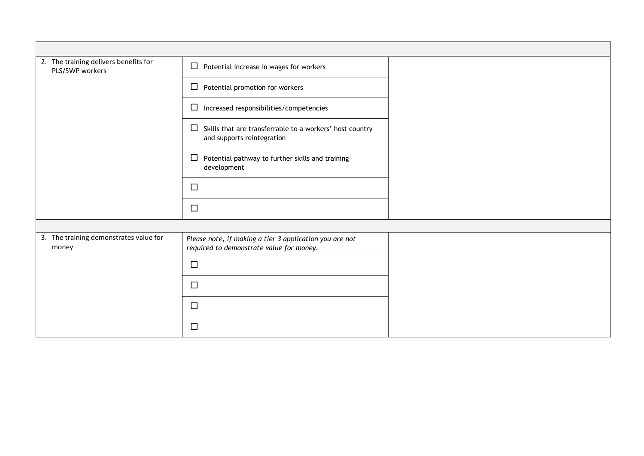| 2. The training delivers benefits for<br>PLS/SWP workers | $\Box$<br>Potential increase in wages for workers                                                   |  |
|----------------------------------------------------------|-----------------------------------------------------------------------------------------------------|--|
|                                                          | Potential promotion for workers<br>□                                                                |  |
|                                                          | Increased responsibilities/competencies<br>$\Box$                                                   |  |
|                                                          | $\Box$<br>Skills that are transferrable to a workers' host country<br>and supports reintegration    |  |
|                                                          | $\Box$<br>Potential pathway to further skills and training<br>development                           |  |
|                                                          | $\Box$                                                                                              |  |
|                                                          | $\Box$                                                                                              |  |
|                                                          |                                                                                                     |  |
| 3. The training demonstrates value for<br>money          | Please note, if making a tier 3 application you are not<br>required to demonstrate value for money. |  |
|                                                          | $\Box$                                                                                              |  |
|                                                          | $\Box$                                                                                              |  |
|                                                          | $\Box$                                                                                              |  |
|                                                          | $\Box$                                                                                              |  |